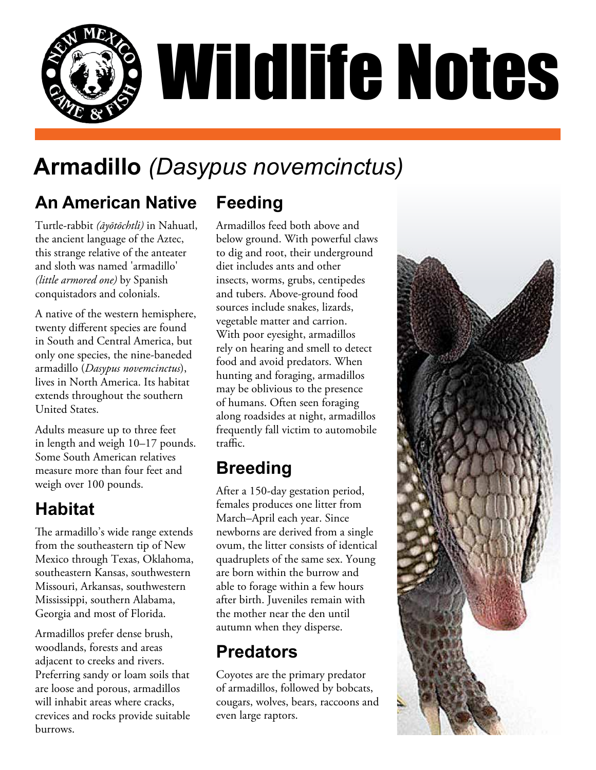

# **Armadillo** *(Dasypus novemcinctus)*

#### **An American Native Feeding**

Turtle-rabbit *(āyōtōchtli)* in Nahuatl, the ancient language of the Aztec, this strange relative of the anteater and sloth was named 'armadillo' *(little armored one)* by Spanish conquistadors and colonials.

A native of the western hemisphere, twenty different species are found in South and Central America, but only one species, the nine-baneded armadillo (*Dasypus novemcinctus*), lives in North America. Its habitat extends throughout the southern United States.

Adults measure up to three feet in length and weigh 10–17 pounds. Some South American relatives measure more than four feet and weigh over 100 pounds.

#### **Habitat**

The armadillo's wide range extends from the southeastern tip of New Mexico through Texas, Oklahoma, southeastern Kansas, southwestern Missouri, Arkansas, southwestern Mississippi, southern Alabama, Georgia and most of Florida.

Armadillos prefer dense brush, woodlands, forests and areas adjacent to creeks and rivers. Preferring sandy or loam soils that are loose and porous, armadillos will inhabit areas where cracks, crevices and rocks provide suitable burrows.

Armadillos feed both above and below ground. With powerful claws to dig and root, their underground diet includes ants and other insects, worms, grubs, centipedes and tubers. Above-ground food sources include snakes, lizards, vegetable matter and carrion. With poor eyesight, armadillos rely on hearing and smell to detect food and avoid predators. When hunting and foraging, armadillos may be oblivious to the presence of humans. Often seen foraging along roadsides at night, armadillos frequently fall victim to automobile traffic.

## **Breeding**

After a 150-day gestation period, females produces one litter from March–April each year. Since newborns are derived from a single ovum, the litter consists of identical quadruplets of the same sex. Young are born within the burrow and able to forage within a few hours after birth. Juveniles remain with the mother near the den until autumn when they disperse.

#### **Predators**

Coyotes are the primary predator of armadillos, followed by bobcats, cougars, wolves, bears, raccoons and even large raptors.